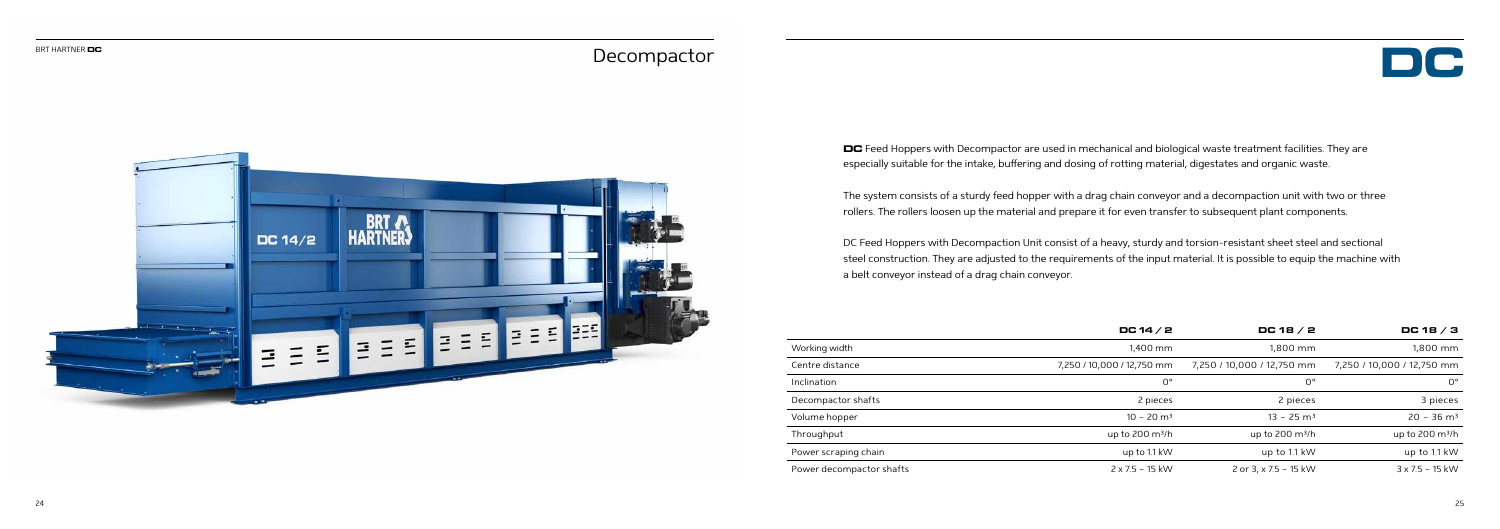

- 
- 
- 

**DC** Feed Hoppers with Decompactor are used in mechanical and biological waste treatment facilities. They are especially suitable for the intake, buffering and dosing of rotting material, digestates and organic waste.

The system consists of a sturdy feed hopper with a drag chain conveyor and a decompaction unit with two or three rollers. The rollers loosen up the material and prepare it for even transfer to subsequent plant components.

DC Feed Hoppers with Decompaction Unit consist of a heavy, sturdy and torsion-resistant sheet steel and sectional steel construction. They are adjusted to the requirements of the input material. It is possible to equip the machine with a belt conveyor instead of a drag chain conveyor.

## Decompactor



|                          | DC 14 $/$ 2                | DC 18 $/$ 2                | DC 18 $/$ 3                |
|--------------------------|----------------------------|----------------------------|----------------------------|
| Working width            | 1.400 mm                   | 1.800 mm                   | 1,800 mm                   |
| Centre distance          | 7,250 / 10,000 / 12,750 mm | 7,250 / 10,000 / 12,750 mm | 7,250 / 10,000 / 12,750 mm |
| Inclination              | $0^{\circ}$                | $0^{\circ}$                | $0^{\circ}$                |
| Decompactor shafts       | 2 pieces                   | 2 pieces                   | 3 pieces                   |
| Volume hopper            | $10 - 20$ m <sup>3</sup>   | $13 - 25$ m <sup>3</sup>   | $20 - 36$ m <sup>3</sup>   |
| Throughput               | up to $200 \text{ m}^3$ /h | up to $200 \text{ m}^3$ /h | up to $200 \text{ m}^3$ /h |
| Power scraping chain     | up to 1.1 kW               | up to 1.1 kW               | up to 1.1 kW               |
| Power decompactor shafts | $2 \times 7.5 - 15$ kW     | 2 or 3, x 7.5 - 15 kW      | $3 \times 7.5 - 15$ kW     |